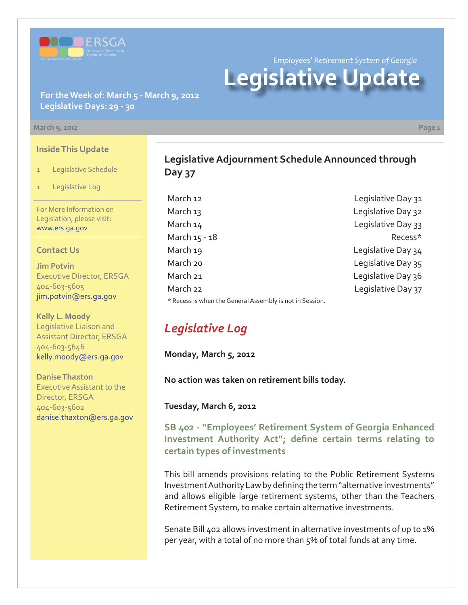

*Employees' Retirement System of Georgia* **Legislative Update**

### **For the Week of: March 5 - March 9, 2012 Legislative Days: 29 - 30**

#### **March 9, 2012 Page 1**

**Inside This Update**

- 1 Legislative Schedule
- Legislative Log

For More Information on Legislation, please visit: www.ers.ga.gov

### **Contact Us**

**Jim Potvin** Executive Director, ERSGA 404-603-5605 jim.potvin@ers.ga.gov

**Kelly L. Moody** Legislative Liaison and Assistant Director, ERSGA 404-603-5646 kelly.moody@ers.ga.gov

**Danise Thaxton** Executive Assistant to the Director, ERSGA 404-603-5602 danise.thaxton@ers.ga.gov

## **Legislative Adjournment Schedule Announced through Day 37**

March 12 **March 12** Legislative Day 31 March 13 March 13 March 14 Legislative Day 33 March 15 - 18 Recess\* March 19 **March** 19 March 20 **March 20** Legislative Day 35 March 21 and 20 and 20 and 20 and 20 and 20 and 20 and 20 and 20 and 20 and 20 and 20 and 20 and 20 and 20 and 20 and 20 and 20 and 20 and 20 and 20 and 20 and 20 and 20 and 20 and 20 and 20 and 20 and 20 and 20 and 20 and March 22 **Legislative Day 37** \* Recess is when the General Assembly is not in Session.

# *Legislative Log*

**Monday, March 5, 2012**

**No action was taken on retirement bills today.** 

**Tuesday, March 6, 2012**

**[SB 402 - "Employees' Retirement System of Georgia Enhanced](http://www.legis.ga.gov/legislation/en-US/Display/20112012/SB/402)**  Investment Authority Act"; define certain terms relating to **certain types of investments**

This bill amends provisions relating to the Public Retirement Systems Investment Authority Law by defining the term "alternative investments" and allows eligible large retirement systems, other than the Teachers Retirement System, to make certain alternative investments.

Senate Bill 402 allows investment in alternative investments of up to 1% per year, with a total of no more than 5% of total funds at any time.